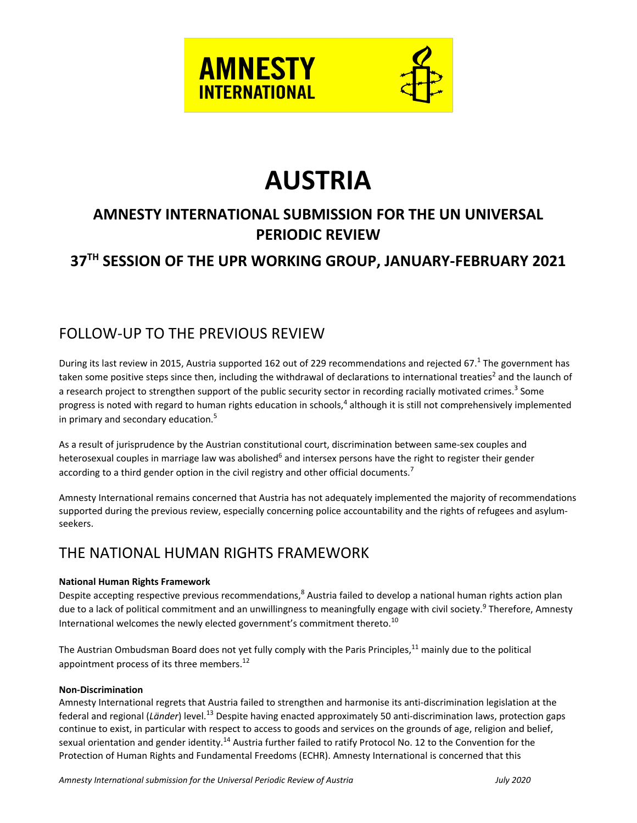



# **AUSTRIA**

# **AMNESTY INTERNATIONAL SUBMISSION FOR THE UN UNIVERSAL PERIODIC REVIEW**

# **37TH SESSION OF THE UPR WORKING GROUP, JANUARY-FEBRUARY 2021**

### FOLLOW-UP TO THE PREVIOUS REVIEW

During its last review in 2015, Austria supported 162 out of 229 recommendations and rejected 67.<sup>1</sup> The government has taken some positive steps since then, including the withdrawal of declarations to international treaties<sup>2</sup> and the launch of a research project to strengthen support of the public security sector in recording racially motivated crimes.<sup>3</sup> Some progress is noted with regard to human rights education in schools,<sup>4</sup> although it is still not comprehensively implemented in primary and secondary education. 5

As <sup>a</sup> result of jurisprudence by the Austrian constitutional court, discrimination between same-sex couples and heterosexual couples in marriage law was abolished<sup>6</sup> and intersex persons have the right to register their gender according to a third gender option in the civil registry and other official documents.<sup>7</sup>

Amnesty International remains concerned that Austria has not adequately implemented the majority of recommendations supported during the previous review, especially concerning police accountability and the rights of refugees and asylumseekers.

## THE NATIONAL HUMAN RIGHTS FRAMEWORK

#### **National Human Rights Framework**

Despite accepting respective previous recommendations,<sup>8</sup> Austria failed to develop a national human rights action plan due to a lack of political commitment and an unwillingness to meaningfully engage with civil society.<sup>9</sup> Therefore, Amnesty International welcomes the newly elected government's commitment thereto.<sup>10</sup>

The Austrian Ombudsman Board does not yet fully comply with the Paris Principles,<sup>11</sup> mainly due to the political appointment process of its three members.<sup>12</sup>

#### **Non-Discrimination**

Amnesty International regrets that Austria failed to strengthen and harmonise its anti-discrimination legislation at the federal and regional (Länder) level.<sup>13</sup> Despite having enacted approximately 50 anti-discrimination laws, protection gaps continue to exist, in particular with respect to access to goods and services on the grounds of age, religion and belief, sexual orientation and gender identity.<sup>14</sup> Austria further failed to ratify Protocol No. 12 to the Convention for the Protection of Human Rights and Fundamental Freedoms (ECHR). Amnesty International is concerned that this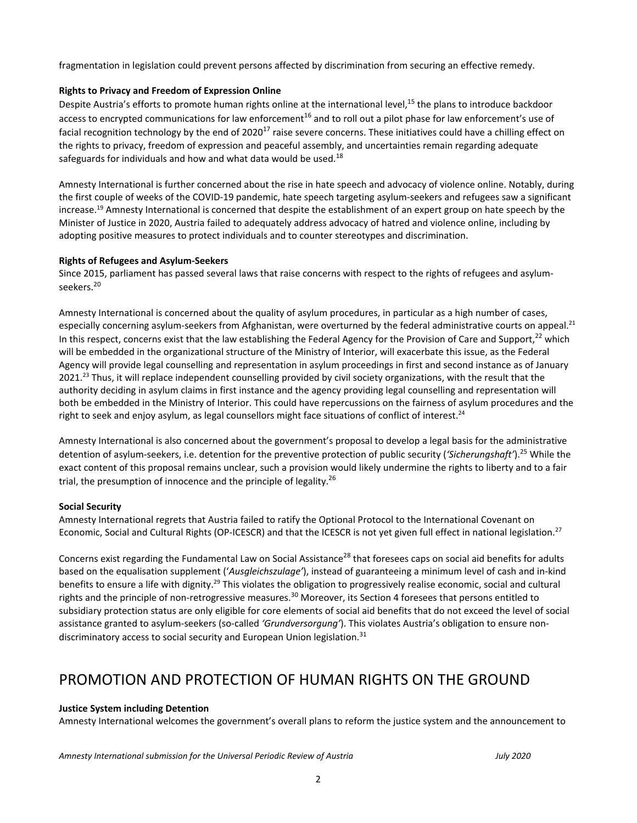fragmentation in legislation could prevent persons affected by discrimination from securing an effective remedy.

#### **Rights to Privacy and Freedom of Expression Online**

Despite Austria's efforts to promote human rights online at the international level,<sup>15</sup> the plans to introduce backdoor access to encrypted communications for law enforcement<sup>16</sup> and to roll out a pilot phase for law enforcement's use of facial recognition technology by the end of 2020<sup>17</sup> raise severe concerns. These initiatives could have a chilling effect on the rights to privacy, freedom of expression and peaceful assembly, and uncertainties remain regarding adequate safeguards for individuals and how and what data would be used.<sup>18</sup>

Amnesty International is further concerned about the rise in hate speech and advocacy of violence online. Notably, during the first couple of weeks of the COVID-19 pandemic, hate speech targeting asylum-seekers and refugees saw <sup>a</sup> significant increase.<sup>19</sup> Amnesty International is concerned that despite the establishment of an expert group on hate speech by the Minister of Justice in 2020, Austria failed to adequately address advocacy of hatred and violence online, including by adopting positive measures to protect individuals and to counter stereotypes and discrimination.

#### **Rights of Refugees and Asylum-Seekers**

Since 2015, parliament has passed several laws that raise concerns with respect to the rights of refugees and asylumseekers.<sup>20</sup>

Amnesty International is concerned about the quality of asylum procedures, in particular as <sup>a</sup> high number of cases, especially concerning asylum-seekers from Afghanistan, were overturned by the federal administrative courts on appeal.<sup>21</sup> In this respect, concerns exist that the law establishing the Federal Agency for the Provision of Care and Support, $^{22}$  which will be embedded in the organizational structure of the Ministry of Interior, will exacerbate this issue, as the Federal Agency will provide legal counselling and representation in asylum proceedings in first and second instance as of January 2021.<sup>23</sup> Thus, it will replace independent counselling provided by civil society organizations, with the result that the authority deciding in asylum claims in first instance and the agency providing legal counselling and representation will both be embedded in the Ministry of Interior. This could have repercussions on the fairness of asylum procedures and the right to seek and enjoy asylum, as legal counsellors might face situations of conflict of interest.<sup>24</sup>

Amnesty International is also concerned about the government'<sup>s</sup> proposal to develop <sup>a</sup> legal basis for the administrative detention of asylum-seekers, i.e. detention for the preventive protection of public security (*'Sicherungshaft'*). <sup>25</sup> While the exact content of this proposal remains unclear, such <sup>a</sup> provision would likely undermine the rights to liberty and to <sup>a</sup> fair trial, the presumption of innocence and the principle of legality.<sup>26</sup>

#### **Social Security**

Amnesty International regrets that Austria failed to ratify the Optional Protocol to the International Covenant on Economic, Social and Cultural Rights (OP-ICESCR) and that the ICESCR is not yet given full effect in national legislation.<sup>27</sup>

Concerns exist regarding the Fundamental Law on Social Assistance<sup>28</sup> that foresees caps on social aid benefits for adults based on the equalisation supplement ('*Ausgleichszulage'*), instead of guaranteeing <sup>a</sup> minimum level of cash and in-kind benefits to ensure a life with dignity.<sup>29</sup> This violates the obligation to progressively realise economic, social and cultural rights and the principle of non-retrogressive measures.<sup>30</sup> Moreover, its Section 4 foresees that persons entitled to subsidiary protection status are only eligible for core elements of social aid benefits that do not exceed the level of social assistance granted to asylum-seekers (so-called *'Grundversorgung'*). This violates Austria'<sup>s</sup> obligation to ensure nondiscriminatory access to social security and European Union legislation.<sup>31</sup>

### PROMOTION AND PROTECTION OF HUMAN RIGHTS ON THE GROUND

#### **Justice System including Detention**

Amnesty International welcomes the government'<sup>s</sup> overall plans to reform the justice system and the announcement to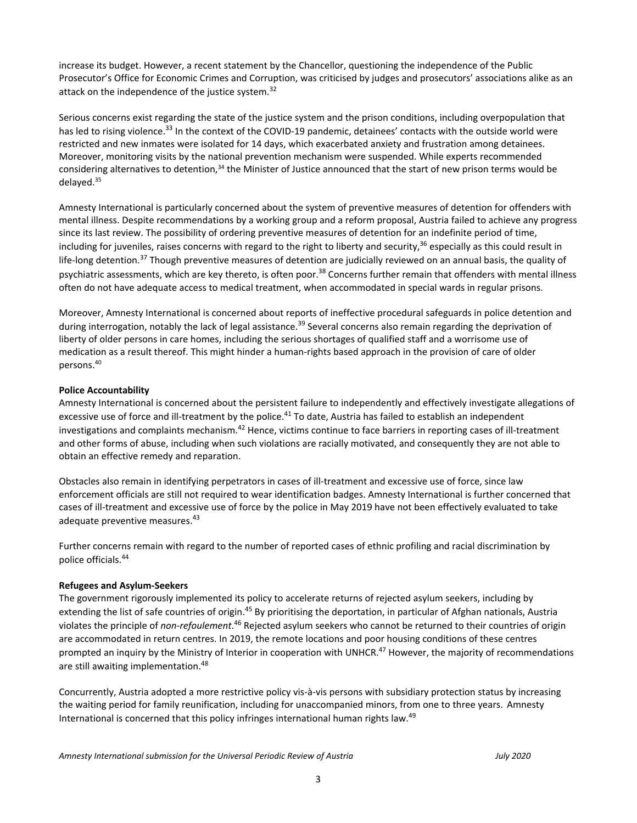increase its budget. However, <sup>a</sup> recent statement by the Chancellor, questioning the independence of the Public Prosecutor'<sup>s</sup> Office for Economic Crimes and Corruption, was criticised by judges and prosecutors' associations alike as an attack on the independence of the justice system.<sup>32</sup>

Serious concerns exist regarding the state of the justice system and the prison conditions, including overpopulation that has led to rising violence.<sup>33</sup> In the context of the COVID-19 pandemic, detainees' contacts with the outside world were restricted and new inmates were isolated for 14 days, which exacerbated anxiety and frustration among detainees. Moreover, monitoring visits by the national prevention mechanism were suspended. While experts recommended considering alternatives to detention,<sup>34</sup> the Minister of Justice announced that the start of new prison terms would be delayed.<sup>35</sup>

Amnesty International is particularly concerned about the system of preventive measures of detention for offenders with mental illness. Despite recommendations by <sup>a</sup> working group and <sup>a</sup> reform proposal, Austria failed to achieve any progress since its last review. The possibility of ordering preventive measures of detention for an indefinite period of time, including for juveniles, raises concerns with regard to the right to liberty and security,<sup>36</sup> especially as this could result in life-long detention.<sup>37</sup> Though preventive measures of detention are judicially reviewed on an annual basis, the quality of psychiatric assessments, which are key thereto, is often poor.<sup>38</sup> Concerns further remain that offenders with mental illness often do not have adequate access to medical treatment, when accommodated in special wards in regular prisons.

Moreover, Amnesty International is concerned about reports of ineffective procedural safeguards in police detention and during interrogation, notably the lack of legal assistance.<sup>39</sup> Several concerns also remain regarding the deprivation of liberty of older persons in care homes, including the serious shortages of qualified staff and <sup>a</sup> worrisome use of medication as <sup>a</sup> result thereof. This might hinder <sup>a</sup> human-rights based approach in the provision of care of older persons. 40

#### **Police Accountability**

Amnesty International is concerned about the persistent failure to independently and effectively investigate allegations of excessive use of force and ill-treatment by the police.<sup>41</sup> To date, Austria has failed to establish an independent investigations and complaints mechanism.<sup>42</sup> Hence, victims continue to face barriers in reporting cases of ill-treatment and other forms of abuse, including when such violations are racially motivated, and consequently they are not able to obtain an effective remedy and reparation.

Obstacles also remain in identifying perpetrators in cases of ill-treatment and excessive use of force, since law enforcement officials are still not required to wear identification badges. Amnesty International is further concerned that cases of ill-treatment and excessive use of force by the police in May 2019 have not been effectively evaluated to take adequate preventive measures.<sup>43</sup>

Further concerns remain with regard to the number of reported cases of ethnic profiling and racial discrimination by police officials. 44

#### **Refugees and Asylum-Seekers**

The government rigorously implemented its policy to accelerate returns of rejected asylum seekers, including by extending the list of safe countries of origin.<sup>45</sup> By prioritising the deportation, in particular of Afghan nationals, Austria violates the principle of *non-refoulement*. 46 Rejected asylum seekers who cannot be returned to their countries of origin are accommodated in return centres. In 2019, the remote locations and poor housing conditions of these centres prompted an inquiry by the Ministry of Interior in cooperation with UNHCR.<sup>47</sup> However, the majority of recommendations are still awaiting implementation.<sup>48</sup>

Concurrently, Austria adopted <sup>a</sup> more restrictive policy vis-à-vis persons with subsidiary protection status by increasing the waiting period for family reunification, including for unaccompanied minors, from one to three years. Amnesty International is concerned that this policy infringes international human rights law.<sup>49</sup>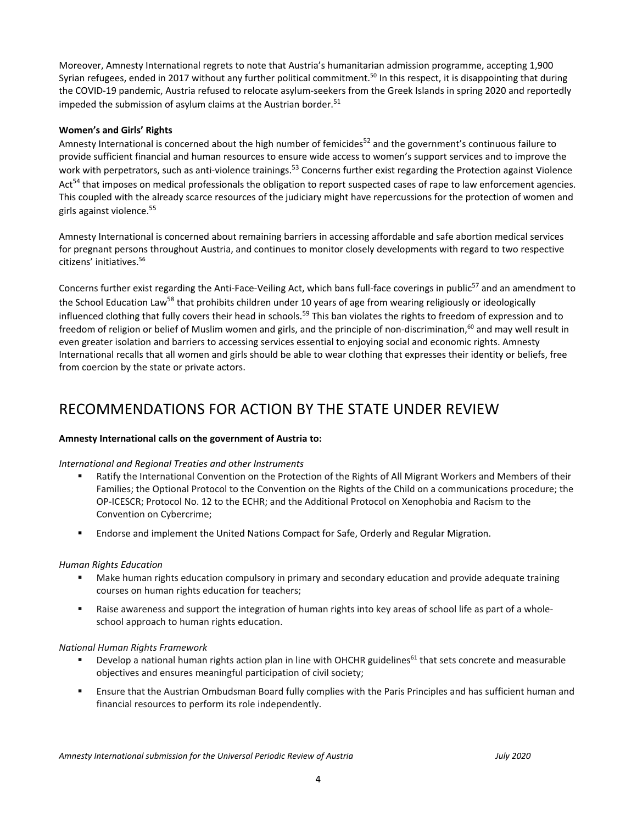Moreover, Amnesty International regrets to note that Austria'<sup>s</sup> humanitarian admission programme, accepting 1,900 Syrian refugees, ended in 2017 without any further political commitment.<sup>50</sup> In this respect, it is disappointing that during the COVID-19 pandemic, Austria refused to relocate asylum-seekers from the Greek Islands in spring 2020 and reportedly impeded the submission of asylum claims at the Austrian border.<sup>51</sup>

#### **Women'<sup>s</sup> and Girls' Rights**

Amnesty International is concerned about the high number of femicides<sup>52</sup> and the government's continuous failure to provide sufficient financial and human resources to ensure wide access to women'<sup>s</sup> support services and to improve the work with perpetrators, such as anti-violence trainings.<sup>53</sup> Concerns further exist regarding the Protection against Violence Act<sup>54</sup> that imposes on medical professionals the obligation to report suspected cases of rape to law enforcement agencies. This coupled with the already scarce resources of the judiciary might have repercussions for the protection of women and girls against violence. 55

Amnesty International is concerned about remaining barriers in accessing affordable and safe abortion medical services for pregnant persons throughout Austria, and continues to monitor closely developments with regard to two respective citizens' initiatives. 56

Concerns further exist regarding the Anti-Face-Veiling Act, which bans full-face coverings in public<sup>57</sup> and an amendment to the School Education Law<sup>58</sup> that prohibits children under 10 years of age from wearing religiously or ideologically influenced clothing that fully covers their head in schools.<sup>59</sup> This ban violates the rights to freedom of expression and to freedom of religion or belief of Muslim women and girls, and the principle of non-discrimination,<sup>60</sup> and may well result in even greater isolation and barriers to accessing services essential to enjoying social and economic rights. Amnesty International recalls that all women and girls should be able to wear clothing that expresses their identity or beliefs, free from coercion by the state or private actors.

### RECOMMENDATIONS FOR ACTION BY THE STATE UNDER REVIEW

#### **Amnesty International calls on the government of Austria to:**

#### *International and Regional Treaties and other Instruments*

- Ratify the International Convention on the Protection of the Rights of All Migrant Workers and Members of their Families; the Optional Protocol to the Convention on the Rights of the Child on <sup>a</sup> communications procedure; the OP-ICESCR; Protocol No. 12 to the ECHR; and the Additional Protocol on Xenophobia and Racism to the Convention on Cybercrime;
- Endorse and implement the United Nations Compact for Safe, Orderly and Regular Migration.

#### *Human Rights Education*

- Make human rights education compulsory in primary and secondary education and provide adequate training courses on human rights education for teachers;
- $\mathbf{u}$  . Raise awareness and support the integration of human rights into key areas of school life as part of <sup>a</sup> wholeschool approach to human rights education.

#### *National Human Rights Framework*

- ■ Develop a national human rights action plan in line with OHCHR guidelines<sup>61</sup> that sets concrete and measurable objectives and ensures meaningful participation of civil society;
- Ensure that the Austrian Ombudsman Board fully complies with the Paris Principles and has sufficient human and financial resources to perform its role independently.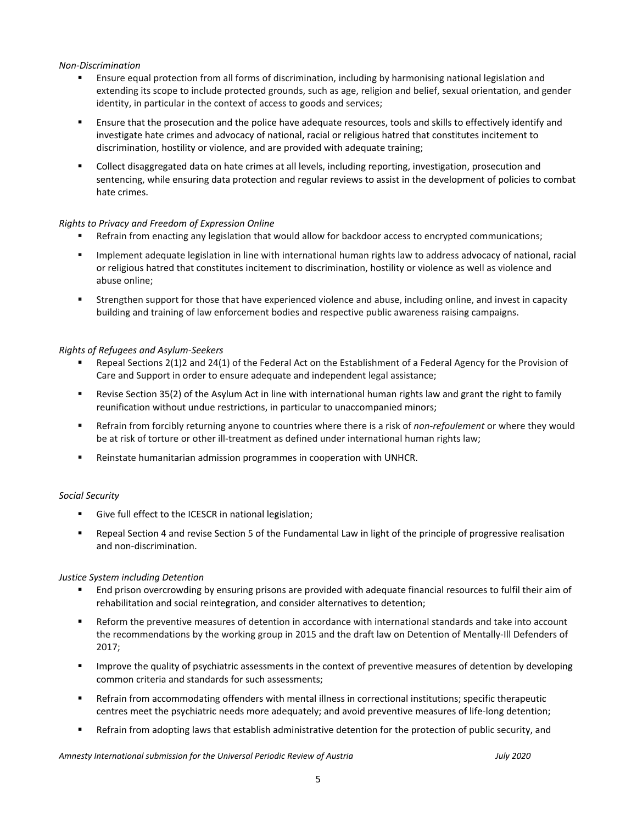#### *Non-Discrimination*

- П Ensure equal protection from all forms of discrimination, including by harmonising national legislation and extending its scope to include protected grounds, such as age, religion and belief, sexual orientation, and gender identity, in particular in the context of access to goods and services;
- $\mathbf{u} = \mathbf{0}$  Ensure that the prosecution and the police have adequate resources, tools and skills to effectively identify and investigate hate crimes and advocacy of national, racial or religious hatred that constitutes incitement to discrimination, hostility or violence, and are provided with adequate training;
- $\blacksquare$  Collect disaggregated data on hate crimes at all levels, including reporting, investigation, prosecution and sentencing, while ensuring data protection and regular reviews to assist in the development of policies to combat hate crimes.

#### *Rights to Privacy and Freedom of Expression Online*

- $\blacksquare$ Refrain from enacting any legislation that would allow for backdoor access to encrypted communications;
- $\mathbf{u} = \mathbf{u}$  Implement adequate legislation in line with international human rights law to address advocacy of national, racial or religious hatred that constitutes incitement to discrimination, hostility or violence as well as violence and abuse online;
- $\mathbf{u} = \mathbf{u}$  Strengthen support for those that have experienced violence and abuse, including online, and invest in capacity building and training of law enforcement bodies and respective public awareness raising campaigns.

#### *Rights of Refugees and Asylum-Seekers*

- n Repeal Sections 2(1)2 and 24(1) of the Federal Act on the Establishment of <sup>a</sup> Federal Agency for the Provision of Care and Support in order to ensure adequate and independent legal assistance;
- $\mathbf{u}$  . Revise Section 35(2) of the Asylum Act in line with international human rights law and grant the right to family reunification without undue restrictions, in particular to unaccompanied minors;
- $\blacksquare$  Refrain from forcibly returning anyone to countries where there is <sup>a</sup> risk of *non-refoulement* or where they would be at risk of torture or other ill-treatment as defined under international human rights law;
- $\mathbf{r}$ Reinstate humanitarian admission programmes in cooperation with UNHCR.

#### *Social Security*

- Give full effect to the ICESCR in national legislation;
- $\mathbf{B} \in \mathbb{R}^n$  Repeal Section 4 and revise Section 5 of the Fundamental Law in light of the principle of progressive realisation and non-discrimination.

#### *Justice System including Detention*

- П End prison overcrowding by ensuring prisons are provided with adequate financial resources to fulfil their aim of rehabilitation and social reintegration, and consider alternatives to detention;
- $\blacksquare$  Reform the preventive measures of detention in accordance with international standards and take into account the recommendations by the working group in 2015 and the draft law on Detention of Mentally-Ill Defenders of 2017;
- $\blacksquare$  Improve the quality of psychiatric assessments in the context of preventive measures of detention by developing common criteria and standards for such assessments;
- $\blacksquare$  Refrain from accommodating offenders with mental illness in correctional institutions; specific therapeutic centres meet the psychiatric needs more adequately; and avoid preventive measures of life-long detention;
- $\blacksquare$ Refrain from adopting laws that establish administrative detention for the protection of public security, and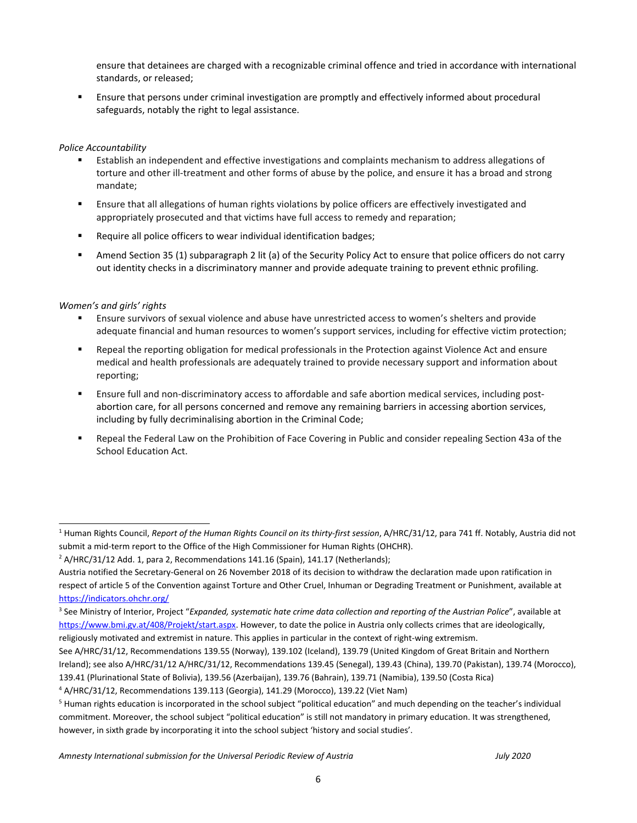ensure that detainees are charged with <sup>a</sup> recognizable criminal offence and tried in accordance with international standards, or released;

 Ensure that persons under criminal investigation are promptly and effectively informed about procedural safeguards, notably the right to legal assistance.

#### *Police Accountability*

- П Establish an independent and effective investigations and complaints mechanism to address allegations of torture and other ill-treatment and other forms of abuse by the police, and ensure it has <sup>a</sup> broad and strong mandate;
- $\mathbf{r}$  Ensure that all allegations of human rights violations by police officers are effectively investigated and appropriately prosecuted and that victims have full access to remedy and reparation;
- $\mathbf{u}$  . Require all police officers to wear individual identification badges;
- $\mathbf{u} = \mathbf{u}$  Amend Section 35 (1) subparagraph 2 lit (a) of the Security Policy Act to ensure that police officers do not carry out identity checks in <sup>a</sup> discriminatory manner and provide adequate training to prevent ethnic profiling.

#### *Women'<sup>s</sup> and girls' rights*

- Ensure survivors of sexual violence and abuse have unrestricted access to women'<sup>s</sup> shelters and provide adequate financial and human resources to women'<sup>s</sup> support services, including for effective victim protection;
- $\mathbf{u} \in \mathbb{R}^n$  Repeal the reporting obligation for medical professionals in the Protection against Violence Act and ensure medical and health professionals are adequately trained to provide necessary support and information about reporting;
- $\mathbf{r}$  Ensure full and non-discriminatory access to affordable and safe abortion medical services, including postabortion care, for all persons concerned and remove any remaining barriers in accessing abortion services, including by fully decriminalising abortion in the Criminal Code;
- a li Repeal the Federal Law on the Prohibition of Face Covering in Public and consider repealing Section 43a of the School Education Act.

<sup>1</sup> Human Rights Council, *Report of the Human Rights Council on its thirty-first session*, A/HRC/31/12, para 741 ff. Notably, Austria did not submit <sup>a</sup> mid-term report to the Office of the High Commissioner for Human Rights (OHCHR).

<sup>&</sup>lt;sup>2</sup> A/HRC/31/12 Add. 1, para 2, Recommendations 141.16 (Spain), 141.17 (Netherlands);

Austria notified the Secretary-General on 26 November 2018 of its decision to withdraw the declaration made upon ratification in respect of article 5 of the Convention against Torture and Other Cruel, Inhuman or Degrading Treatment or Punishment, available at <https://indicators.ohchr.org/>

<sup>3</sup> See Ministry of Interior, Project "*Expanded, systematic hate crime data collection and reporting of the Austrian Police*", available at <https://www.bmi.gv.at/408/Projekt/start.aspx>. However, to date the police in Austria only collects crimes that are ideologically, religiously motivated and extremist in nature. This applies in particular in the context of right-wing extremism.

See A/HRC/31/12, Recommendations 139.55 (Norway), 139.102 (Iceland), 139.79 (United Kingdom of Great Britain and Northern Ireland); see also A/HRC/31/12 A/HRC/31/12, Recommendations 139.45 (Senegal), 139.43 (China), 139.70 (Pakistan), 139.74 (Morocco),

<sup>139.41</sup> (Plurinational State of Bolivia), 139.56 (Azerbaijan), 139.76 (Bahrain), 139.71 (Namibia), 139.50 (Costa Rica)

<sup>4</sup> A/HRC/31/12, Recommendations 139.113 (Georgia), 141.29 (Morocco), 139.22 (Viet Nam)

<sup>5</sup> Human rights education is incorporated in the school subject "political education" and much depending on the teacher'<sup>s</sup> individual commitment. Moreover, the school subject "political education" is still not mandatory in primary education. It was strengthened, however, in sixth grade by incorporating it into the school subject 'history and social studies'.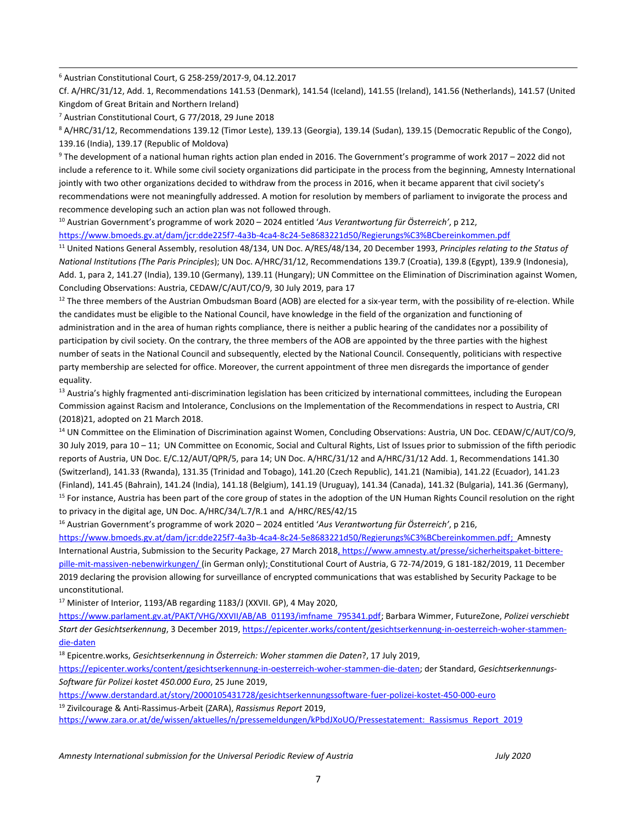6 Austrian Constitutional Court, G 258-259/2017-9, 04.12.2017

Cf. A/HRC/31/12, Add. 1, Recommendations 141.53 (Denmark), 141.54 (Iceland), 141.55 (Ireland), 141.56 (Netherlands), 141.57 (United Kingdom of Great Britain and Northern Ireland)

7 Austrian Constitutional Court, G 77/2018, 29 June 2018

<sup>8</sup> A/HRC/31/12, Recommendations 139.12 (Timor Leste), 139.13 (Georgia), 139.14 (Sudan), 139.15 (Democratic Republic of the Congo), 139.16 (India), 139.17 (Republic of Moldova)

9 The development of <sup>a</sup> national human rights action plan ended in 2016. The Government'<sup>s</sup> programme of work 2017 – 2022 did not include <sup>a</sup> reference to it. While some civil society organizations did participate in the process from the beginning, Amnesty International jointly with two other organizations decided to withdraw from the process in 2016, when it became apparent that civil society's recommendations were not meaningfully addressed. A motion for resolution by members of parliament to invigorate the process and recommence developing such an action plan was not followed through.

10 Austrian Government'<sup>s</sup> programme of work <sup>2020</sup> – <sup>2024</sup> entitled '*Aus Verantwortung für Österreich'*, <sup>p</sup> 212, <https://www.bmoeds.gv.at/dam/jcr:dde225f7-4a3b-4ca4-8c24-5e8683221d50/Regierungs%C3%BCbereinkommen.pdf>

11 United Nations General Assembly, resolution 48/134, UN Doc. A/RES/48/134, 20 December 1993, *Principles relating to the Status of National Institutions (The Paris Principles*); UN Doc. A/HRC/31/12, Recommendations 139.7 (Croatia), 139.8 (Egypt), 139.9 (Indonesia), Add. 1, para 2, 141.27 (India), 139.10 (Germany), 139.11 (Hungary); UN Committee on the Elimination of Discrimination against Women, Concluding Observations: Austria, CEDAW/C/AUT/CO/9, 30 July 2019, para 17

 $^{12}$  The three members of the Austrian Ombudsman Board (AOB) are elected for a six-year term, with the possibility of re-election. While the candidates must be eligible to the National Council, have knowledge in the field of the organization and functioning of administration and in the area of human rights compliance, there is neither <sup>a</sup> public hearing of the candidates nor <sup>a</sup> possibility of participation by civil society. On the contrary, the three members of the AOB are appointed by the three parties with the highest number of seats in the National Council and subsequently, elected by the National Council. Consequently, politicians with respective party membership are selected for office. Moreover, the current appointment of three men disregards the importance of gender equality.

<sup>13</sup> Austria's highly fragmented anti-discrimination legislation has been criticized by international committees, including the European Commission against Racism and Intolerance, Conclusions on the Implementation of the Recommendations in respect to Austria, CRI (2018)21, adopted on 21 March 2018.

<sup>14</sup> UN Committee on the Elimination of Discrimination against Women, Concluding Observations: Austria, UN Doc. CEDAW/C/AUT/CO/9, 30 July 2019, para 10 – 11; UN Committee on Economic, Social and Cultural Rights, List of Issues prior to submission of the fifth periodic reports of Austria, UN Doc. E/C.12/AUT/QPR/5, para 14; UN Doc. A/HRC/31/12 and A/HRC/31/12 Add. 1, Recommendations 141.30 (Switzerland), 141.33 (Rwanda), 131.35 (Trinidad and Tobago), 141.20 (Czech Republic), 141.21 (Namibia), 141.22 (Ecuador), 141.23 (Finland), 141.45 (Bahrain), 141.24 (India), 141.18 (Belgium), 141.19 (Uruguay), 141.34 (Canada), 141.32 (Bulgaria), 141.36 (Germany), <sup>15</sup> For instance, Austria has been part of the core group of states in the adoption of the UN Human Rights Council resolution on the right to privacy in the digital age, UN Doc. A/HRC/34/L.7/R.1 and A/HRC/RES/42/15

16 Austrian Government'<sup>s</sup> programme of work <sup>2020</sup> – <sup>2024</sup> entitled '*Aus Verantwortung für Österreich'*, <sup>p</sup> 216,

<https://www.bmoeds.gv.at/dam/jcr:dde225f7-4a3b-4ca4-8c24-5e8683221d50/Regierungs%C3%BCbereinkommen.pdf>; Amnesty International Austria, Submission to the Security Package, 27 March 2018, [https://www.amnesty.at/presse/sicherheitspaket-bittere](https://www.amnesty.at/presse/sicherheitspaket-bittere-pille-mit-massiven-nebenwirkungen/)[pille-mit-massiven-nebenwirkungen/](https://www.amnesty.at/presse/sicherheitspaket-bittere-pille-mit-massiven-nebenwirkungen/) (in German only); Constitutional Court of Austria, G 72-74/2019, G 181-182/2019, 11 December 2019 declaring the provision allowing for surveillance of encrypted communications that was established by Security Package to be unconstitutional.

<sup>17</sup> Minister of Interior, 1193/AB regarding 1183/J (XXVII. GP), 4 May 2020,

[https://www.parlament.gv.at/PAKT/VHG/XXVII/AB/AB\\_01193/imfname\\_795341.pdf](https://www.parlament.gv.at/PAKT/VHG/XXVII/AB/AB_01193/imfname_795341.pdf); Barbara Wimmer, FutureZone, *Polizei verschiebt Start der Gesichtserkennung*, 3 December 2019, [https://epicenter.works/content/gesichtserkennung-in-oesterreich-woher-stammen](https://epicenter.works/content/gesichtserkennung-in-oesterreich-woher-stammen-die-daten)[die-daten](https://epicenter.works/content/gesichtserkennung-in-oesterreich-woher-stammen-die-daten)

18 Epicentre.works, *Gesichtserkennung in Österreich: Woher stammen die Daten*?, <sup>17</sup> July 2019,

<https://epicenter.works/content/gesichtserkennung-in-oesterreich-woher-stammen-die-daten>; der Standard, *Gesichtserkennungs-Software für Polizei kostet 450.000 Euro*, 25 June 2019,

<https://www.derstandard.at/story/2000105431728/gesichtserkennungssoftware-fuer-polizei-kostet-450-000-euro>

19 Zivilcourage & Anti-Rassimus-Arbeit (ZARA), *Rassismus Report* 2019,

[https://www.zara.or.at/de/wissen/aktuelles/n/pressemeldungen/kPbdJXoUO/Pressestatement:\\_Rassismus\\_Report\\_2019](https://www.zara.or.at/de/wissen/aktuelles/n/pressemeldungen/kPbdJXoUO/Pressestatement:_Rassismus_Report_2019)

*Amnesty International submission for the Universal Periodic Review of Austria July 2020*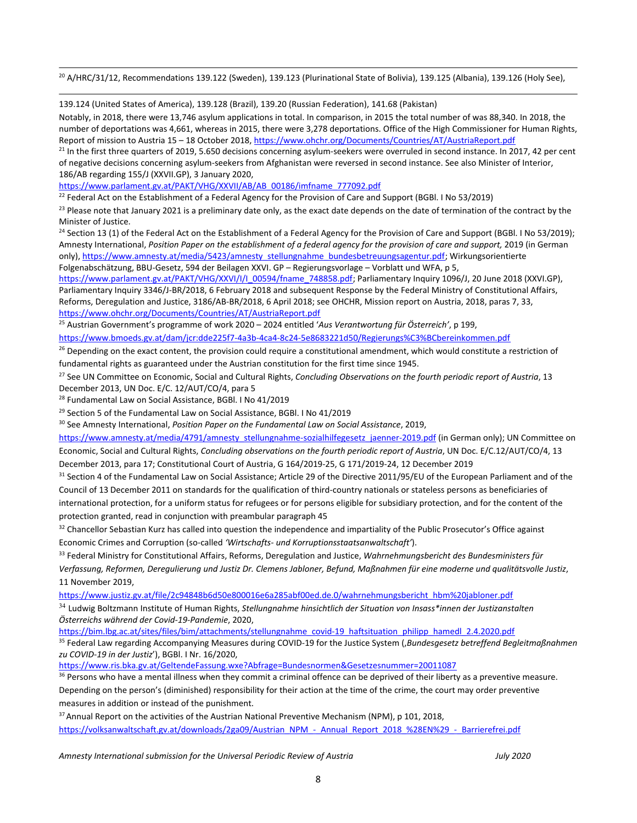$^{20}$  A/HRC/31/12, Recommendations 139.122 (Sweden), 139.123 (Plurinational State of Bolivia), 139.125 (Albania), 139.126 (Holy See),

139.124 (United States of America), 139.128 (Brazil), 139.20 (Russian Federation), 141.68 (Pakistan)

Notably, in 2018, there were 13,746 asylum applications in total. In comparison, in 2015 the total number of was 88,340. In 2018, the number of deportations was 4,661, whereas in 2015, there were 3,278 deportations. Office of the High Commissioner for Human Rights, Report of mission to Austria 15 – 18 October 2018, <https://www.ohchr.org/Documents/Countries/AT/AustriaReport.pdf>

 $^{21}$  In the first three quarters of 2019, 5.650 decisions concerning asylum-seekers were overruled in second instance. In 2017, 42 per cent of negative decisions concerning asylum-seekers from Afghanistan were reversed in second instance. See also Minister of Interior, 186/AB regarding 155/J (XXVII.GP), 3 January 2020,

[https://www.parlament.gv.at/PAKT/VHG/XXVII/AB/AB\\_00186/imfname\\_777092.pdf](https://www.parlament.gv.at/PAKT/VHG/XXVII/AB/AB_00186/imfname_777092.pdf)

<sup>22</sup> Federal Act on the Establishment of a Federal Agency for the Provision of Care and Support (BGBl. I No 53/2019)

<sup>23</sup> Please note that January 2021 is a preliminary date only, as the exact date depends on the date of termination of the contract by the Minister of Justice.

<sup>24</sup> Section 13 (1) of the Federal Act on the Establishment of a Federal Agency for the Provision of Care and Support (BGBl. I No 53/2019); Amnesty International, Position Paper on the establishment of a federal agency for the provision of care and support, 2019 (in German only), [https://www.amnesty.at/media/5423/amnesty\\_stellungnahme\\_bundesbetreuungsagentur.pdf](https://www.amnesty.at/media/5423/amnesty_stellungnahme_bundesbetreuungsagentur.pdf); Wirkungsorientierte Folgenabschätzung, BBU-Gesetz, 594 der Beilagen XXVI. GP – Regierungsvorlage – Vorblatt und WFA, p 5,

[https://www.parlament.gv.at/PAKT/VHG/XXVI/I/I\\_00594/fname\\_748858.pdf](https://www.parlament.gv.at/PAKT/VHG/XXVI/I/I_00594/fname_748858.pdf); Parliamentary Inquiry 1096/J, 20 June 2018 (XXVI.GP), Parliamentary Inquiry 3346/J-BR/2018, 6 February 2018 and subsequent Response by the Federal Ministry of Constitutional Affairs, Reforms, Deregulation and Justice, 3186/AB-BR/2018, 6 April 2018; see OHCHR, Mission report on Austria, 2018, paras 7, 33, <https://www.ohchr.org/Documents/Countries/AT/AustriaReport.pdf>

25 Austrian Government'<sup>s</sup> programme of work <sup>2020</sup> – <sup>2024</sup> entitled '*Aus Verantwortung für Österreich'*, <sup>p</sup> 199,

<https://www.bmoeds.gv.at/dam/jcr:dde225f7-4a3b-4ca4-8c24-5e8683221d50/Regierungs%C3%BCbereinkommen.pdf>

<sup>26</sup> Depending on the exact content, the provision could require a constitutional amendment, which would constitute a restriction of fundamental rights as guaranteed under the Austrian constitution for the first time since 1945.

27 See UN Committee on Economic, Social and Cultural Rights, *Concluding Observations on the fourth periodic report of Austria*, 13 December 2013, UN Doc. E/C. 12/AUT/CO/4, para 5

28 Fundamental Law on Social Assistance, BGBl. I No 41/2019

<sup>29</sup> Section 5 of the Fundamental Law on Social Assistance, BGBl. I No 41/2019

30 See Amnesty International, *Position Paper on the Fundamental Law on Social Assistance*, 2019,

[https://www.amnesty.at/media/4791/amnesty\\_stellungnahme-sozialhilfegesetz\\_jaenner-2019.pdf](https://www.amnesty.at/media/4791/amnesty_stellungnahme-sozialhilfegesetz_jaenner-2019.pdf) (in German only); UN Committee on Economic, Social and Cultural Rights, *Concluding observations on the fourth periodic report of Austria*, UN Doc. E/C.12/AUT/CO/4, 13 December 2013, para 17; Constitutional Court of Austria, G 164/2019-25, G 171/2019-24, 12 December 2019

<sup>31</sup> Section 4 of the Fundamental Law on Social Assistance; Article 29 of the Directive 2011/95/EU of the European Parliament and of the Council of 13 December 2011 on standards for the qualification of third-country nationals or stateless persons as beneficiaries of international protection, for <sup>a</sup> uniform status for refugees or for persons eligible for subsidiary protection, and for the content of the protection granted, read in conjunction with preambular paragraph 45

 $32$  Chancellor Sebastian Kurz has called into question the independence and impartiality of the Public Prosecutor's Office against Economic Crimes and Corruption (so-called *'Wirtschafts- und Korruptionsstaatsanwaltschaft'*).

33 Federal Ministry for Constitutional Affairs, Reforms, Deregulation and Justice, *Wahrnehmungsbericht des Bundesministers für* Verfassung, Reformen, Derequlierung und Justiz Dr. Clemens Jabloner, Befund, Maßnahmen für eine moderne und qualitätsvolle Justiz, 11 November 2019,

[https://www.justiz.gv.at/file/2c94848b6d50e800016e6a285abf00ed.de.0/wahrnehmungsbericht\\_hbm%20jabloner.pdf](https://www.justiz.gv.at/file/2c94848b6d50e800016e6a285abf00ed.de.0/wahrnehmungsbericht_hbm%20jabloner.pdf)

34 Ludwig Boltzmann Institute of Human Rights, *Stellungnahme hinsichtlich der Situation von Insass\*innen der Justizanstalten Österreichs während der Covid-19-Pandemie*, 2020,

[https://bim.lbg.ac.at/sites/files/bim/attachments/stellungnahme\\_covid-19\\_haftsituation\\_philipp\\_hamedl\\_2.4.2020.pdf](https://bim.lbg.ac.at/sites/files/bim/attachments/stellungnahme_covid-19_haftsituation_philipp_hamedl_2.4.2020.pdf)

35 Federal Law regarding Accompanying Measures during COVID-19 for the Justice System ('*Bundesgesetz betreffend Begleitmaßnahmen zu COVID-19 in der Justiz*'), BGBl. I Nr. 16/2020,

<https://www.ris.bka.gv.at/GeltendeFassung.wxe?Abfrage=Bundesnormen&Gesetzesnummer=20011087>

<sup>36</sup> Persons who have a mental illness when they commit a criminal offence can be deprived of their liberty as a preventive measure. Depending on the person'<sup>s</sup> (diminished) responsibility for their action at the time of the crime, the court may order preventive measures in addition or instead of the punishment.

 $37$  Annual Report on the activities of the Austrian National Preventive Mechanism (NPM), p 101, 2018, [https://volksanwaltschaft.gv.at/downloads/2ga09/Austrian\\_NPM\\_-\\_Annual\\_Report\\_2018\\_%28EN%29\\_-\\_Barrierefrei.pdf](https://volksanwaltschaft.gv.at/downloads/2ga09/Austrian_NPM_-_Annual_Report_2018_%28EN%29_-_Barrierefrei.pdf)

*Amnesty International submission for the Universal Periodic Review of Austria July 2020*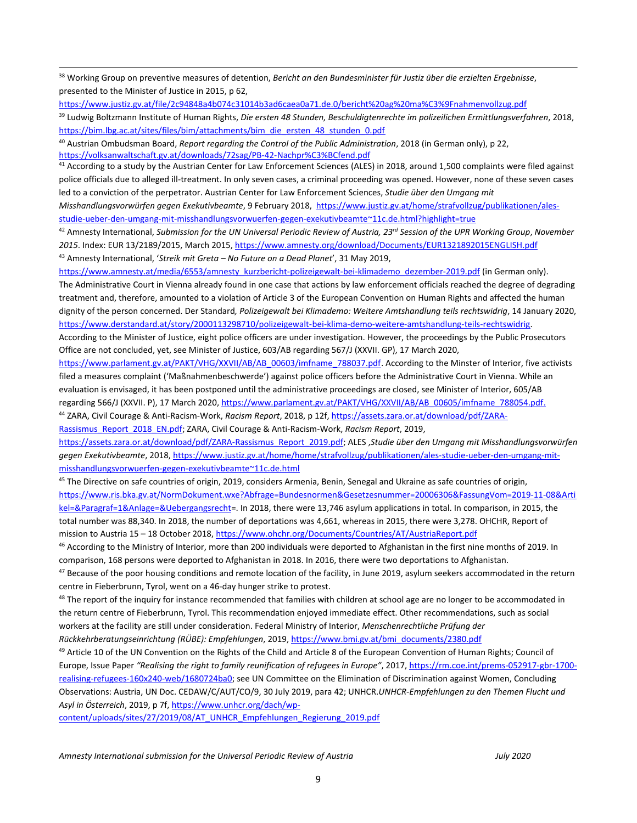<sup>38</sup> Working Group on preventive measures of detention, *Bericht an den Bundesminister für Justiz über die erzielten Ergebnisse*, presented to the Minister of Justice in 2015, p 62,

<https://www.justiz.gv.at/file/2c94848a4b074c31014b3ad6caea0a71.de.0/bericht%20ag%20ma%C3%9Fnahmenvollzug.pdf>

39 Ludwig Boltzmann Institute of Human Rights, *Die ersten 48 Stunden, Beschuldigtenrechte im polizeilichen Ermittlungsverfahren*, 2018, [https://bim.lbg.ac.at/sites/files/bim/attachments/bim\\_die\\_ersten\\_48\\_stunden\\_0.pdf](https://bim.lbg.ac.at/sites/files/bim/attachments/bim_die_ersten_48_stunden_0.pdf)

40 Austrian Ombudsman Board, *Report regarding the Control of the Public Administration*, 2018 (in German only), p 22, <https://volksanwaltschaft.gv.at/downloads/72sag/PB-42-Nachpr%C3%BCfend.pdf>

<sup>41</sup> According to a study by the Austrian Center for Law Enforcement Sciences (ALES) in 2018, around 1,500 complaints were filed against police officials due to alleged ill-treatment. In only seven cases, <sup>a</sup> criminal proceeding was opened. However, none of these seven cases led to <sup>a</sup> conviction of the perpetrator. Austrian Center for Law Enforcement Sciences, *Studie über den Umgang mit*

*Misshandlungsvorwürfen gegen Exekutivbeamte*, 9 February 2018, [https://www.justiz.gv.at/home/strafvollzug/publikationen/ales](https://www.justiz.gv.at/home/strafvollzug/publikationen/ales-studie-ueber-den-umgang-mit-misshandlungsvorwuerfen-gegen-exekutivbeamte~11c.de.html?highlight=true)[studie-ueber-den-umgang-mit-misshandlungsvorwuerfen-gegen-exekutivbeamte~11c.de.html?highlight=true](https://www.justiz.gv.at/home/strafvollzug/publikationen/ales-studie-ueber-den-umgang-mit-misshandlungsvorwuerfen-gegen-exekutivbeamte~11c.de.html?highlight=true)

 $^{42}$  Amnesty International, Submission for the UN Universal Periodic Review of Austria, 23<sup>rd</sup> Session of the UPR Working Group, November *2015*. Index: EUR 13/2189/2015, March 2015, <https://www.amnesty.org/download/Documents/EUR1321892015ENGLISH.pdf> 43 Amnesty International, '*Streik mit Greta – No Future on <sup>a</sup> Dead Planet*', 31 May 2019,

[https://www.amnesty.at/media/6553/amnesty\\_kurzbericht-polizeigewalt-bei-klimademo\\_dezember-2019.pdf](https://www.amnesty.at/media/6553/amnesty_kurzbericht-polizeigewalt-bei-klimademo_dezember-2019.pdf) (in German only). The Administrative Court in Vienna already found in one case that actions by law enforcement officials reached the degree of degrading treatment and, therefore, amounted to <sup>a</sup> violation of Article 3 of the European Convention on Human Rights and affected the human dignity of the person concerned. Der Standard*, Polizeigewalt bei Klimademo: Weitere Amtshandlung teils rechtswidrig*, 14 January 2020, <https://www.derstandard.at/story/2000113298710/polizeigewalt-bei-klima-demo-weitere-amtshandlung-teils-rechtswidrig>.

According to the Minister of Justice, eight police officers are under investigation. However, the proceedings by the Public Prosecutors Office are not concluded, yet, see Minister of Justice, 603/AB regarding 567/J (XXVII. GP), 17 March 2020,

[https://www.parlament.gv.at/PAKT/VHG/XXVII/AB/AB\\_00603/imfname\\_788037.pdf](https://www.parlament.gv.at/PAKT/VHG/XXVII/AB/AB_00603/imfname_788037.pdf). According to the Minster of Interior, five activists filed <sup>a</sup> measures complaint ('Maßnahmenbeschwerde') against police officers before the Administrative Court in Vienna. While an evaluation is envisaged, it has been postponed until the administrative proceedings are closed, see Minister of Interior, 605/AB regarding 566/J (XXVII. P), 17 March 2020, [https://www.parlament.gv.at/PAKT/VHG/XXVII/AB/AB\\_00605/imfname\\_788054.pdf](https://www.parlament.gv.at/PAKT/VHG/XXVII/AB/AB_00605/imfname_788054.pdf).

44 ZARA, Civil Courage & Anti-Racism-Work, *Racism Report*, 2018, p 12f, [https://assets.zara.or.at/download/pdf/ZARA-](https://assets.zara.or.at/download/pdf/ZARA-Rassismus_Report_2018_EN.pdf)[Rassismus\\_Report\\_2018\\_EN.pdf](https://assets.zara.or.at/download/pdf/ZARA-Rassismus_Report_2018_EN.pdf); ZARA, Civil Courage & Anti-Racism-Work, *Racism Report*, 2019,

[https://assets.zara.or.at/download/pdf/ZARA-Rassismus\\_Report\\_2019.pdf](https://assets.zara.or.at/download/pdf/ZARA-Rassismus_Report_2019.pdf); ALES ,*Studie über den Umgang mit Misshandlungsvorwürfen gegen Exekutivbeamte*, 2018, [https://www.justiz.gv.at/home/home/strafvollzug/publikationen/ales-studie-ueber-den-umgang-mit](https://www.justiz.gv.at/home/home/strafvollzug/publikationen/ales-studie-ueber-den-umgang-mit-misshandlungsvorwuerfen-gegen-exekutivbeamte~11c.de.html)[misshandlungsvorwuerfen-gegen-exekutivbeamte~11c.de.html](https://www.justiz.gv.at/home/home/strafvollzug/publikationen/ales-studie-ueber-den-umgang-mit-misshandlungsvorwuerfen-gegen-exekutivbeamte~11c.de.html)

<sup>45</sup> The Directive on safe countries of origin, 2019, considers Armenia, Benin, Senegal and Ukraine as safe countries of origin, [https://www.ris.bka.gv.at/NormDokument.wxe?Abfrage=Bundesnormen&Gesetzesnummer=20006306&FassungVom=2019-11-08&Arti](https://www.ris.bka.gv.at/NormDokument.wxe?Abfrage=Bundesnormen&Gesetzesnummer=20006306&FassungVom=2019-11-08&Artikel=&Paragraf=1&Anlage=&Uebergangsrecht) [kel=&Paragraf=1&Anlage=&Uebergangsrecht](https://www.ris.bka.gv.at/NormDokument.wxe?Abfrage=Bundesnormen&Gesetzesnummer=20006306&FassungVom=2019-11-08&Artikel=&Paragraf=1&Anlage=&Uebergangsrecht)=. In 2018, there were 13,746 asylum applications in total. In comparison, in 2015, the total number was 88,340. In 2018, the number of deportations was 4,661, whereas in 2015, there were 3,278. OHCHR, Report of mission to Austria 15 – 18 October 2018, <https://www.ohchr.org/Documents/Countries/AT/AustriaReport.pdf>

<sup>46</sup> According to the Ministry of Interior, more than 200 individuals were deported to Afghanistan in the first nine months of 2019. In comparison, 168 persons were deported to Afghanistan in 2018. In 2016, there were two deportations to Afghanistan.

 $^{47}$  Because of the poor housing conditions and remote location of the facility, in June 2019, asylum seekers accommodated in the return centre in Fieberbrunn, Tyrol, went on <sup>a</sup> 46-day hunger strike to protest.

<sup>48</sup> The report of the inquiry for instance recommended that families with children at school age are no longer to be accommodated in the return centre of Fieberbrunn, Tyrol. This recommendation enjoyed immediate effect. Other recommendations, such as social workers at the facility are still under consideration. Federal Ministry of Interior, *Menschenrechtliche Prüfung der*

*Rückkehrberatungseinrichtung (RÜBE): Empfehlungen*, 2019, [https://www.bmi.gv.at/bmi\\_documents/2380.pdf](https://www.bmi.gv.at/bmi_documents/2380.pdf)

<sup>49</sup> Article 10 of the UN Convention on the Rights of the Child and Article 8 of the European Convention of Human Rights; Council of Europe, Issue Paper *"Realising the right to family reunification of refugees in Europe"*, 2017, [https://rm.coe.int/prems-052917-gbr-1700](https://rm.coe.int/prems-052917-gbr-1700-realising-refugees-160x240-web/1680724ba0) [realising-refugees-160x240-web/1680724ba0](https://rm.coe.int/prems-052917-gbr-1700-realising-refugees-160x240-web/1680724ba0); see UN Committee on the Elimination of Discrimination against Women, Concluding Observations: Austria, UN Doc. CEDAW/C/AUT/CO/9, 30 July 2019, para 42; UNHCR.*UNHCR-Empfehlungen zu den Themen Flucht und Asyl in Österreich*, 2019, <sup>p</sup> 7f, [https://www.unhcr.org/dach/wp-](https://www.unhcr.org/dach/wp-content/uploads/sites/27/2019/08/AT_UNHCR_Empfehlungen_Regierung_2019.pdf)

[content/uploads/sites/27/2019/08/AT\\_UNHCR\\_Empfehlungen\\_Regierung\\_2019.pdf](https://www.unhcr.org/dach/wp-content/uploads/sites/27/2019/08/AT_UNHCR_Empfehlungen_Regierung_2019.pdf)